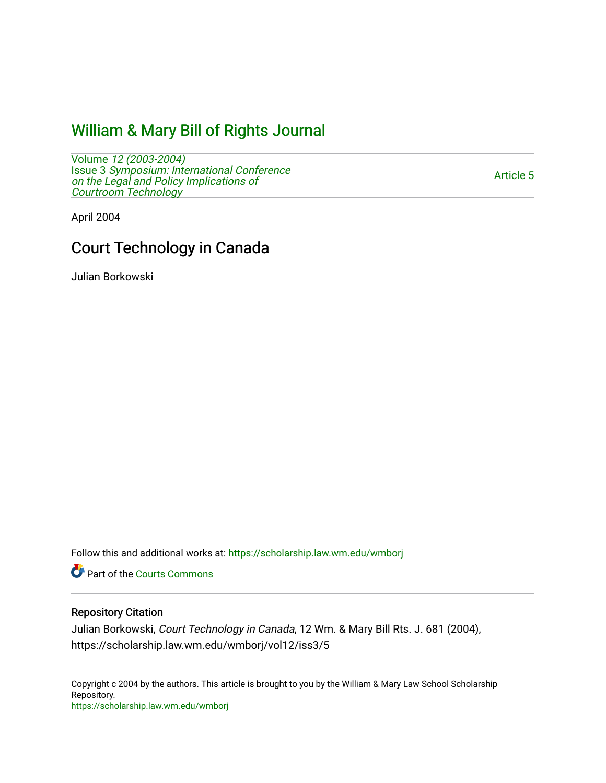## [William & Mary Bill of Rights Journal](https://scholarship.law.wm.edu/wmborj)

Volume [12 \(2003-2004\)](https://scholarship.law.wm.edu/wmborj/vol12)  Issue 3 [Symposium: International Conference](https://scholarship.law.wm.edu/wmborj/vol12/iss3) [on the Legal and Policy Implications of](https://scholarship.law.wm.edu/wmborj/vol12/iss3)  [Courtroom Technology](https://scholarship.law.wm.edu/wmborj/vol12/iss3) 

[Article 5](https://scholarship.law.wm.edu/wmborj/vol12/iss3/5) 

April 2004

# Court Technology in Canada

Julian Borkowski

Follow this and additional works at: [https://scholarship.law.wm.edu/wmborj](https://scholarship.law.wm.edu/wmborj?utm_source=scholarship.law.wm.edu%2Fwmborj%2Fvol12%2Fiss3%2F5&utm_medium=PDF&utm_campaign=PDFCoverPages) 

Part of the [Courts Commons](http://network.bepress.com/hgg/discipline/839?utm_source=scholarship.law.wm.edu%2Fwmborj%2Fvol12%2Fiss3%2F5&utm_medium=PDF&utm_campaign=PDFCoverPages) 

### Repository Citation

Julian Borkowski, Court Technology in Canada, 12 Wm. & Mary Bill Rts. J. 681 (2004), https://scholarship.law.wm.edu/wmborj/vol12/iss3/5

Copyright c 2004 by the authors. This article is brought to you by the William & Mary Law School Scholarship Repository. <https://scholarship.law.wm.edu/wmborj>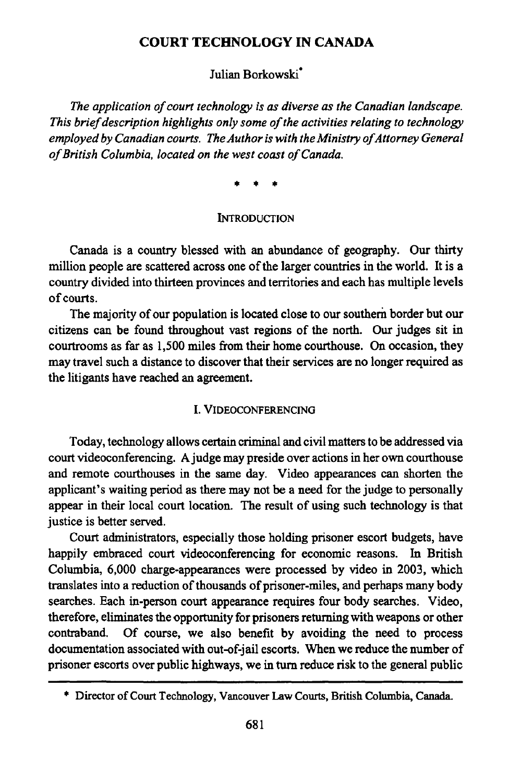#### **COURT TECHNOLOGY IN CANADA**

Julian Borkowski\*

*The application of court technology is as diverse as the Canadian landscape. This brief description highlights only some of the activities relating to technology employed by Canadian courts. The Author is with the Ministry of Attorney General of British Columbia, located on the west coast of Canada.*

#### **INTRODUCTION**

Canada is a country blessed with an abundance of geography. Our thirty million people are scattered across one of the larger countries in the world. It is a country divided into thirteen provinces and territories and each has multiple levels of courts.

The majority of our population is located close to our southern border but our citizens can be found throughout vast regions of the north. Our judges sit in courtrooms as far as **1,500** miles from their home courthouse. On occasion, they may travel such a distance to discover that their services are no longer required as the litigants have reached an agreement.

#### **I. VIDEOCONFERENCING**

Today, technology allows certain criminal and civil matters to be addressed via court videoconferencing. A judge may preside over actions in her own courthouse and remote courthouses in the same day. Video appearances can shorten the applicant's waiting period as there may not be a need for the judge to personally appear in their local court location. The result of using such technology is that justice is better served.

Court administrators, especially those holding prisoner escort budgets, have happily embraced court videoconferencing for economic reasons. **In** British Columbia, **6,000** charge-appearances were processed **by** video in **2003,** which translates into a reduction of thousands of prisoner-miles, and perhaps many body searches. Each in-person court appearance requires four body searches. Video, therefore, eliminates the opportunity for prisoners returning with weapons or other contraband. **Of** course, we also benefit **by** avoiding the need to process documentation associated with out-of-jail escorts. When we reduce the number of prisoner escorts over public highways, we in turn reduce risk to the general public

**<sup>\*</sup>** Director of Court Technology, Vancouver Law Courts, British Columbia, Canada.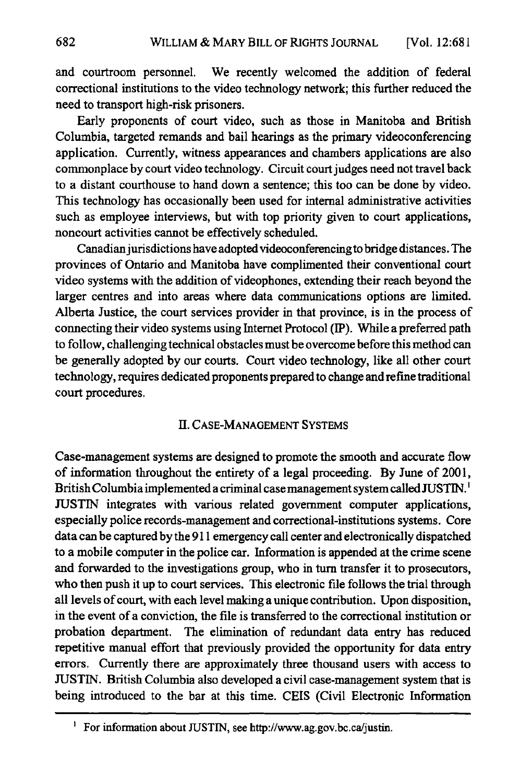and courtroom personnel. We recently welcomed the addition of federal correctional institutions to the video technology network; this further reduced the need to transport high-risk prisoners.

Early proponents of court video, such as those in Manitoba and British Columbia, targeted remands and bail hearings as the primary videoconferencing application. Currently, witness appearances and chambers applications are also commonplace by court video technology. Circuit court judges need not travel back to a distant courthouse to hand down a sentence; this too can be done by video. This technology has occasionally been used for internal administrative activities such as employee interviews, but with top priority given to court applications, noncourt activities cannot be effectively scheduled.

Canadian jurisdictions have adopted videoconferencing to bridge distances. The provinces of Ontario and Manitoba have complimented their conventional court video systems with the addition of videophones, extending their reach beyond the larger centres and into areas where data communications options are limited. Alberta Justice, the court services provider in that province, is in the process of connecting their video systems using Internet Protocol (IP). While a preferred path to follow, challenging technical obstacles must be overcome before this method can be generally adopted by our courts. Court video technology, like all other court technology, requires dedicated proponents prepared to change and refine traditional court procedures.

#### **11.** CASE-MANAGEMENT SYSTEMS

Case-management systems are designed to promote the smooth and accurate flow of information throughout the entirety of a legal proceeding. By June of 200 **1,** British Columbia implemented a criminal case management system called JUSTIN.' JUSTIN integrates with various related government computer applications, especially police records-management and correctional-institutions systems. Core data can be captured by the 911 emergency call center and electronically dispatched to a mobile computer in the police car. Information is appended at the crime scene and forwarded to the investigations group, who in turn transfer it to prosecutors, who then push it up to court services. This electronic file follows the trial through all levels of court, with each level making a unique contribution. Upon disposition, in the event of a conviction, the file is transferred to the correctional institution or probation department. The elimination of redundant data entry has reduced repetitive manual effort that previously provided the opportunity for data entry errors. Currently there are approximately three thousand users with access to JUSTIN. British Columbia also developed a civil case-management system that is being introduced to the bar at this time. CEIS (Civil Electronic Information

**<sup>&#</sup>x27;** For information about **JUSTIN,** see http://www.ag.gov.bc.ca/justin.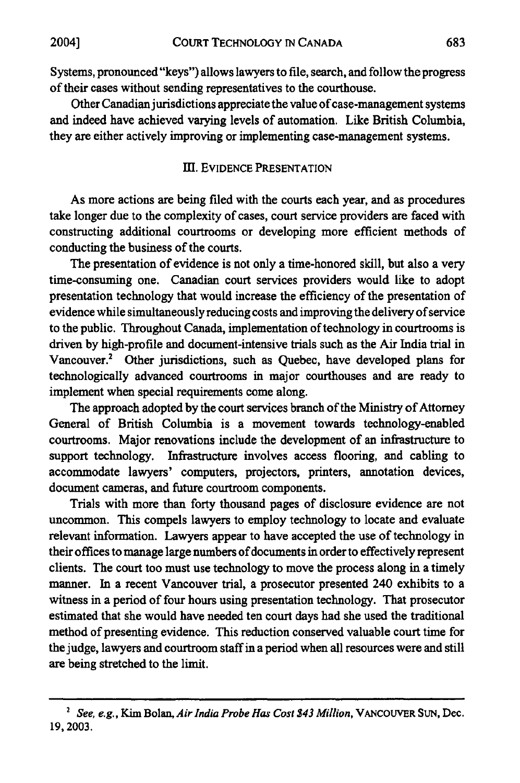Systems, pronounced "keys") allows lawyers to file, search, and follow the progress of their cases without sending representatives to the courthouse.

Other Canadian jurisdictions appreciate the value of case-management systems and indeed have achieved varying levels of automation. Like British Columbia, they are either actively improving or implementing case-management systems.

#### **1Il.** EVIDENCE **PRESENTATION**

As more actions are being filed with the courts each year, and as procedures take longer due to the complexity of cases, court service providers are faced with constructing additional courtrooms or developing more efficient methods of conducting the business of the courts.

The presentation of evidence is not only a time-honored skill, but also a very time-consuming one. Canadian court services providers would like to adopt presentation technology that would increase the efficiency of the presentation of evidence while simultaneously reducing costs and improving the delivery of service to the public. Throughout Canada, implementation of technology in courtrooms is driven **by** high-profile and document-intensive trials such as the Air India trial in Vancouver.2 Other jurisdictions, such as Quebec, have developed plans for technologically advanced courtrooms in major courthouses and are ready to implement when special requirements come along.

The approach adopted **by** the court services branch of the Ministry of Attorney General of British Columbia is a movement towards technology-enabled courtrooms. Major renovations include the development of an infrastructure to support technology. Infrastructure involves access flooring, and cabling to accommodate lawyers' computers, projectors, printers, annotation devices, document cameras, and future courtroom components.

Trials with more than forty thousand pages of disclosure evidence are not uncommon. This compels lawyers to employ technology to locate and evaluate relevant information. Lawyers appear to have accepted the use of technology in their offices to manage large numbers of documents in order to effectively represent clients. The court too must use technology to move the process along in a timely manner. In a recent Vancouver trial, a prosecutor presented 240 exhibits to a witness in a period of four hours using presentation technology. That prosecutor estimated that she would have needed ten court days had she used the traditional method of presenting evidence. This reduction conserved valuable court time for the judge, lawyers and courtroom staff in a period when all resources were and still are being stretched to the limit.

<sup>2</sup>*See, e.g.,* Kim Bolan, *Air India Probe Has Cost \$43 Million,* **VANCOUVER SUN,** Dec. **19,2003.**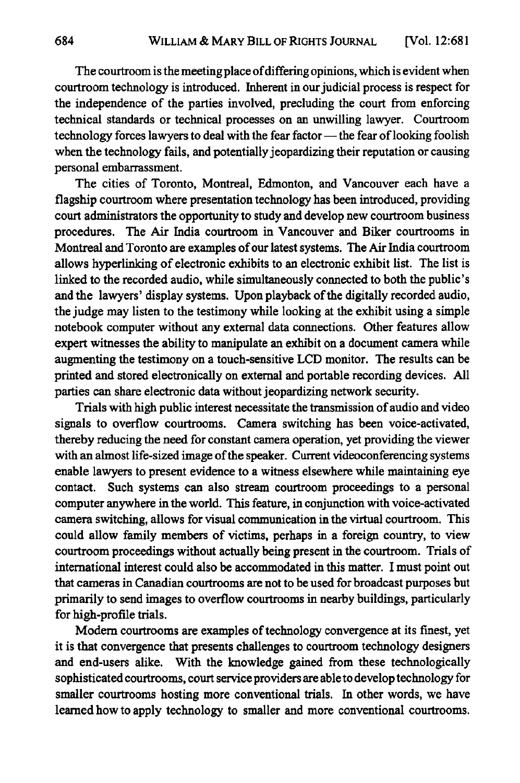The courtroom is the meeting place of differing opinions, which is evident when courtroom technology is introduced. Inherent in our judicial process is respect for the independence of the parties involved, precluding the court from enforcing technical standards or technical processes on an unwilling lawyer. Courtroom technology forces lawyers to deal with the fear factor - the fear of looking foolish when the technology fails, and potentially jeopardizing their reputation or causing personal embarrassment.

The cities of Toronto, Montreal, Edmonton, and Vancouver each have a flagship courtroom where presentation technology has been introduced, providing court administrators the opportunity to study and develop new courtroom business procedures. The Air India courtroom in Vancouver and Biker courtrooms in Montreal and Toronto are examples of our latest systems. The Air India courtroom allows hyperlinking of electronic exhibits to an electronic exhibit list. The list is linked to the recorded audio, while simultaneously connected to both the public's and the lawyers' display systems. Upon playback of the digitally recorded audio, the judge may listen to the testimony while looking at the exhibit using a simple notebook computer without any external data connections. Other features allow expert witnesses the ability to manipulate an exhibit on a document camera while augmenting the testimony on a touch-sensitive **LCD** monitor. The results can be printed and stored electronically on external and portable recording devices. **All** parties can share electronic data without jeopardizing network security.

Trials with high public interest necessitate the transmission of audio and video signals to overflow courtrooms. Camera switching has been voice-activated, thereby reducing the need for constant camera operation, yet providing the viewer with an almost life-sized image of the speaker. Current videoconferencing systems enable lawyers to present evidence to a witness elsewhere while maintaining eye contact. Such systems can also stream courtroom proceedings to a personal computer anywhere in the world. This feature, in conjunction with voice-activated camera switching, allows for visual communication in the virtual courtroom. This could allow family members of victims, perhaps in a foreign country, to view courtroom proceedings without actually being present in the courtroom. Trials of international interest could also be accommodated in this matter. I must point out that cameras in Canadian courtrooms are not to be used for broadcast purposes but primarily to send images to overflow courtrooms in nearby buildings, particularly for high-profile trials.

Modern courtrooms are examples of technology convergence at its finest, yet it is that convergence that presents challenges to courtroom technology designers and end-users alike. With the knowledge gained from these technologically sophisticated courtrooms, court service providers are able to develop technology for smaller courtrooms hosting more conventional trials. In other words, we have learned how to apply technology to smaller and more conventional courtrooms.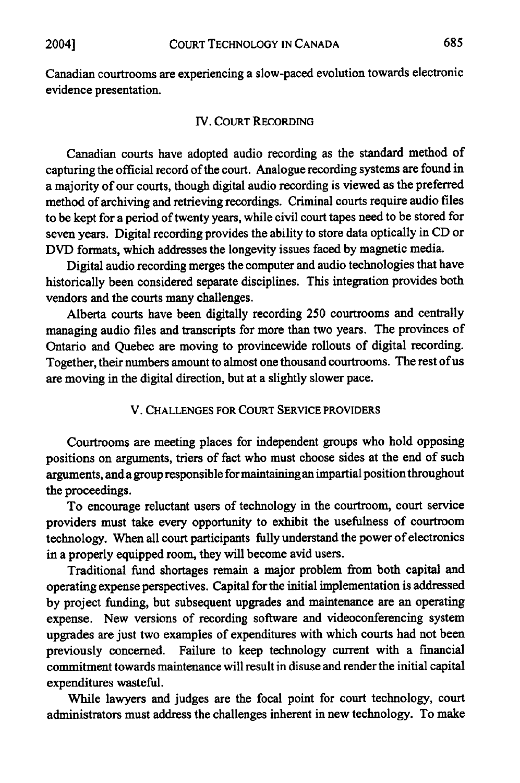Canadian courtrooms are experiencing a slow-paced evolution towards electronic evidence presentation.

#### IV. COURT RECORDING

Canadian courts have adopted audio recording as the standard method of capturing the official record of the court. Analogue recording systems are found in a majority of our courts, though digital audio recording is viewed as the preferred method of archiving and retrieving recordings. Criminal courts require audio files to be kept for a period of twenty years, while civil court tapes need to be stored for seven years. Digital recording provides the ability to store data optically in CD or DVD formats, which addresses the longevity issues faced by magnetic media.

Digital audio recording merges the computer and audio technologies that have historically been considered separate disciplines. This integration provides both vendors and the courts many challenges.

Alberta courts have been digitally recording 250 courtrooms and centrally managing audio files and transcripts for more than two years. The provinces of Ontario and Quebec are moving to provincewide rollouts of digital recording. Together, their numbers amount to almost one thousand courtrooms. The rest of us are moving in the digital direction, but at a slightly slower pace.

#### V. **CHALLENGES** FOR **COURT** SERVICE PROVIDERS

Courtrooms are meeting places for independent groups who hold opposing positions on arguments, triers of fact who must choose sides at the end of such arguments, and a group responsible for maintainingan impartial position throughout the proceedings.

To encourage reluctant users of technology in the courtroom, court service providers must take every opportunity to exhibit the usefulness of courtroom technology. When all court participants fully understand the power of electronics in a properly equipped room, they will become avid users.

Traditional fund shortages remain a major problem from both capital and operating expense perspectives. Capital for the initial implementation is addressed **by** project funding, but subsequent upgrades and maintenance are an operating expense. New versions of recording software and videoconferencing system upgrades are just two examples of expenditures with which courts had not been previously concerned. Failure to keep technology current with a financial commitment towards maintenance will result in disuse and render the initial capital expenditures wasteful.

While lawyers and judges are the focal point for court technology, court administrators must address the challenges inherent in new technology. To make